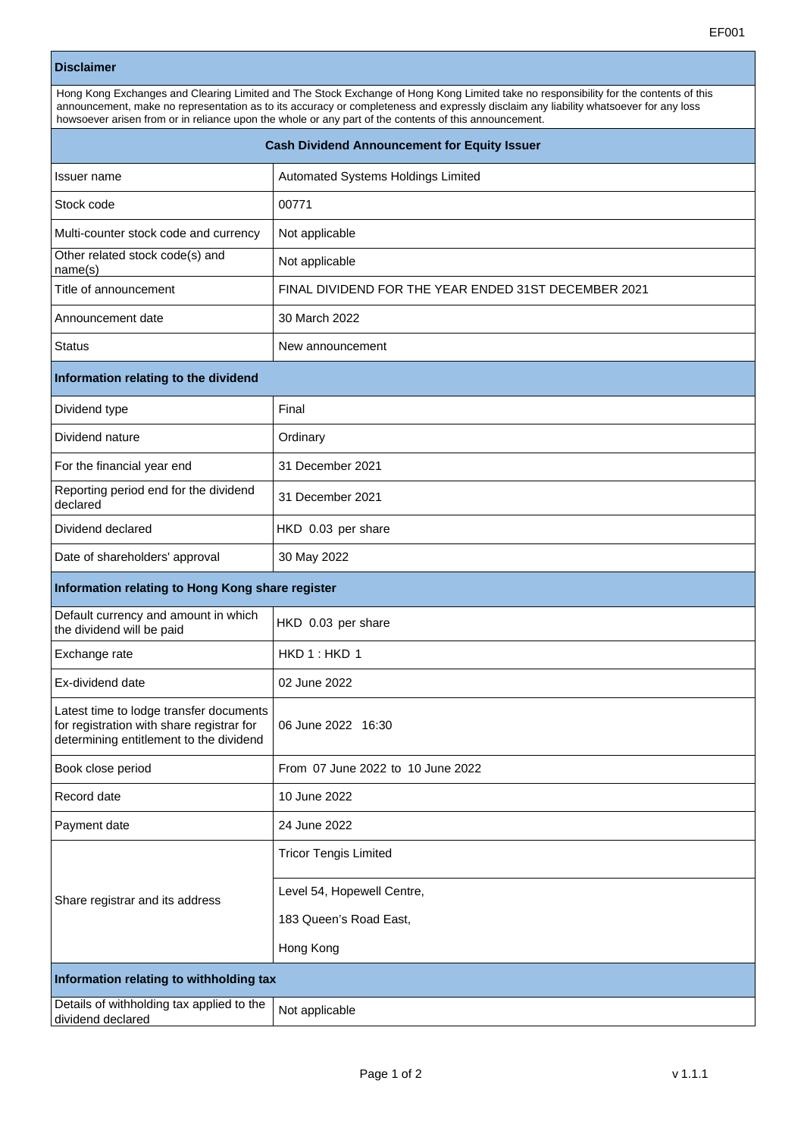## **Disclaimer**

| Hong Kong Exchanges and Clearing Limited and The Stock Exchange of Hong Kong Limited take no responsibility for the contents of this |  |  |
|--------------------------------------------------------------------------------------------------------------------------------------|--|--|
| announcement, make no representation as to its accuracy or completeness and expressly disclaim any liability whatsoever for any loss |  |  |
|                                                                                                                                      |  |  |
| howsoever arisen from or in reliance upon the whole or any part of the contents of this announcement.                                |  |  |

| <b>Cash Dividend Announcement for Equity Issuer</b>                                                                             |                                                      |  |
|---------------------------------------------------------------------------------------------------------------------------------|------------------------------------------------------|--|
| Issuer name                                                                                                                     | Automated Systems Holdings Limited                   |  |
| Stock code                                                                                                                      | 00771                                                |  |
| Multi-counter stock code and currency                                                                                           | Not applicable                                       |  |
| Other related stock code(s) and<br>name(s)                                                                                      | Not applicable                                       |  |
| Title of announcement                                                                                                           | FINAL DIVIDEND FOR THE YEAR ENDED 31ST DECEMBER 2021 |  |
| Announcement date                                                                                                               | 30 March 2022                                        |  |
| <b>Status</b>                                                                                                                   | New announcement                                     |  |
| Information relating to the dividend                                                                                            |                                                      |  |
| Dividend type                                                                                                                   | Final                                                |  |
| Dividend nature                                                                                                                 | Ordinary                                             |  |
| For the financial year end                                                                                                      | 31 December 2021                                     |  |
| Reporting period end for the dividend<br>declared                                                                               | 31 December 2021                                     |  |
| Dividend declared                                                                                                               | HKD 0.03 per share                                   |  |
| Date of shareholders' approval                                                                                                  | 30 May 2022                                          |  |
| Information relating to Hong Kong share register                                                                                |                                                      |  |
| Default currency and amount in which<br>the dividend will be paid                                                               | HKD 0.03 per share                                   |  |
| Exchange rate                                                                                                                   | HKD 1: HKD 1                                         |  |
| Ex-dividend date                                                                                                                | 02 June 2022                                         |  |
| Latest time to lodge transfer documents<br>for registration with share registrar for<br>determining entitlement to the dividend | 06 June 2022 16:30                                   |  |
| Book close period                                                                                                               | From 07 June 2022 to 10 June 2022                    |  |
| Record date                                                                                                                     | 10 June 2022                                         |  |
| Payment date                                                                                                                    | 24 June 2022                                         |  |
| Share registrar and its address                                                                                                 | <b>Tricor Tengis Limited</b>                         |  |
|                                                                                                                                 | Level 54, Hopewell Centre,                           |  |
|                                                                                                                                 | 183 Queen's Road East,                               |  |
|                                                                                                                                 | Hong Kong                                            |  |
| Information relating to withholding tax                                                                                         |                                                      |  |
| Details of withholding tax applied to the<br>dividend declared                                                                  | Not applicable                                       |  |